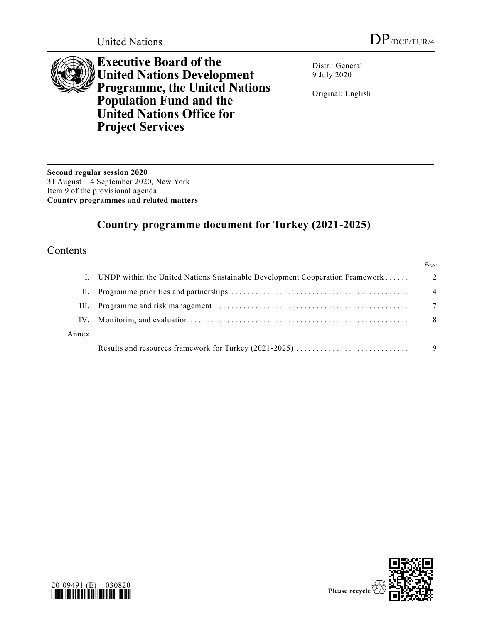

**Executive Board of the United Nations Development Programme, the United Nations Population Fund and the United Nations Office for Project Services**

Distr.: General 9 July 2020

Original: English

**Second regular session 2020** 31 August – 4 September 2020, New York Item 9 of the provisional agenda **Country programmes and related matters**

# **Country programme document for Turkey (2021-2025)**

### Contents

|       |                                                                              | Page            |
|-------|------------------------------------------------------------------------------|-----------------|
|       | UNDP within the United Nations Sustainable Development Cooperation Framework | $\overline{2}$  |
| Н.    |                                                                              | $\overline{4}$  |
| III.  |                                                                              | $7\phantom{.0}$ |
| IV.   |                                                                              | -8              |
| Annex |                                                                              |                 |
|       |                                                                              |                 |



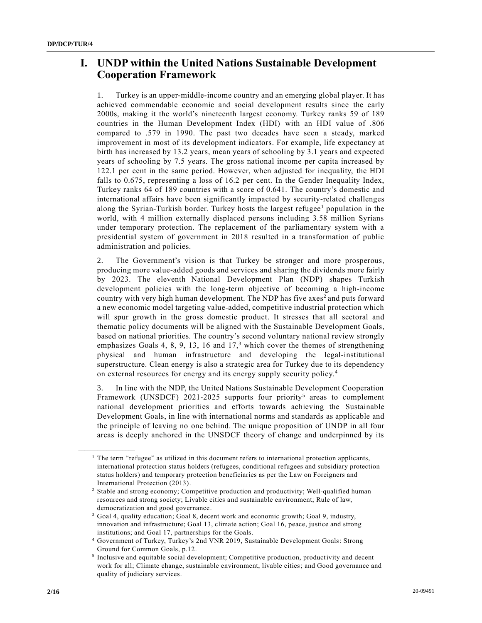## **I. UNDP within the United Nations Sustainable Development Cooperation Framework**

1. Turkey is an upper-middle-income country and an emerging global player. It has achieved commendable economic and social development results since the early 2000s, making it the world's nineteenth largest economy. Turkey ranks 59 of 189 countries in the Human Development Index (HDI) with an HDI value of .806 compared to .579 in 1990. The past two decades have seen a steady, marked improvement in most of its development indicators. For example, life expectancy at birth has increased by 13.2 years, mean years of schooling by 3.1 years and expected years of schooling by 7.5 years. The gross national income per capita increased by 122.1 per cent in the same period. However, when adjusted for inequality, the HDI falls to 0.675, representing a loss of 16.2 per cent. In the Gender Inequality Index, Turkey ranks 64 of 189 countries with a score of 0.641. The country's domestic and international affairs have been significantly impacted by security-related challenges along the Syrian-Turkish border. Turkey hosts the largest refugee $<sup>1</sup>$  population in the</sup> world, with 4 million externally displaced persons including 3.58 million Syrians under temporary protection. The replacement of the parliamentary system with a presidential system of government in 2018 resulted in a transformation of public administration and policies.

2. The Government's vision is that Turkey be stronger and more prosperous, producing more value-added goods and services and sharing the dividends more fairly by 2023. The eleventh National Development Plan (NDP) shapes Turkish development policies with the long-term objective of becoming a high-income country with very high human development. The NDP has five axes<sup>2</sup> and puts forward a new economic model targeting value-added, competitive industrial protection which will spur growth in the gross domestic product. It stresses that all sectoral and thematic policy documents will be aligned with the Sustainable Development Goals, based on national priorities. The country's second voluntary national review strongly emphasizes Goals 4, 8, 9, 13, 16 and  $17<sup>3</sup>$  which cover the themes of strengthening physical and human infrastructure and developing the legal-institutional superstructure. Clean energy is also a strategic area for Turkey due to its dependency on external resources for energy and its energy supply security policy. 4

3. In line with the NDP, the United Nations Sustainable Development Cooperation Framework (UNSDCF) 2021-2025 supports four priority<sup>5</sup> areas to complement national development priorities and efforts towards achieving the Sustainable Development Goals, in line with international norms and standards as applicable and the principle of leaving no one behind. The unique proposition of UNDP in all four areas is deeply anchored in the UNSDCF theory of change and underpinned by its

 $<sup>1</sup>$  The term "refugee" as utilized in this document refers to international protection applicants,</sup> international protection status holders (refugees, conditional refugees and subsidiary protection status holders) and temporary protection beneficiaries as per the Law on Foreigners and International Protection (2013).

<sup>&</sup>lt;sup>2</sup> Stable and strong economy; Competitive production and productivity; Well-qualified human resources and strong society; Livable cities and sustainable environment; Rule of law, democratization and good governance.

<sup>&</sup>lt;sup>3</sup> Goal 4, quality education; Goal 8, decent work and economic growth; Goal 9, industry, innovation and infrastructure; Goal 13, climate action; Goal 16, peace, justice and strong institutions; and Goal 17, partnerships for the Goals.

<sup>4</sup> Government of Turkey, Turkey's 2nd VNR 2019, Sustainable Development Goals: Strong Ground for Common Goals, p.12.

<sup>&</sup>lt;sup>5</sup> Inclusive and equitable social development; Competitive production, productivity and decent work for all; Climate change, sustainable environment, livable cities; and Good governance and quality of judiciary services.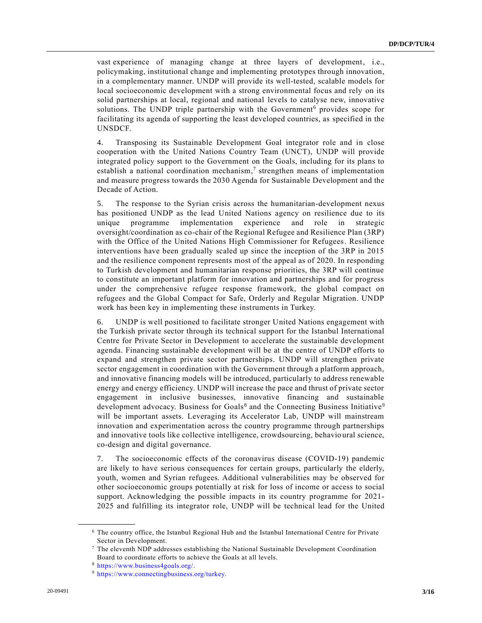vast experience of managing change at three layers of development, i.e., policymaking, institutional change and implementing prototypes through innovation, in a complementary manner. UNDP will provide its well-tested, scalable models for local socioeconomic development with a strong environmental focus and rely on its solid partnerships at local, regional and national levels to catalyse new, innovative solutions. The UNDP triple partnership with the Government<sup>6</sup> provides scope for facilitating its agenda of supporting the least developed countries, as specified in the UNSDCF.

4. Transposing its Sustainable Development Goal integrator role and in close cooperation with the United Nations Country Team (UNCT), UNDP will provide integrated policy support to the Government on the Goals, including for its plans to establish a national coordination mechanism,<sup>7</sup> strengthen means of implementation and measure progress towards the 2030 Agenda for Sustainable Development and the Decade of Action.

5. The response to the Syrian crisis across the humanitarian-development nexus has positioned UNDP as the lead United Nations agency on resilience due to its unique programme implementation experience and role in strategic oversight/coordination as co-chair of the Regional Refugee and Resilience Plan (3RP) with the Office of the United Nations High Commissioner for Refugees. Resilience interventions have been gradually scaled up since the inception of the 3RP in 2015 and the resilience component represents most of the appeal as of 2020. In responding to Turkish development and humanitarian response priorities, the 3RP will continue to constitute an important platform for innovation and partnerships and for progress under the comprehensive refugee response framework, the global compact on refugees and the Global Compact for Safe, Orderly and Regular Migration. UNDP work has been key in implementing these instruments in Turkey.

6. UNDP is well positioned to facilitate stronger United Nations engagement with the Turkish private sector through its technical support for the Istanbul International Centre for Private Sector in Development to accelerate the sustainable development agenda. Financing sustainable development will be at the centre of UNDP efforts to expand and strengthen private sector partnerships. UNDP will strengthen private sector engagement in coordination with the Government through a platform approach, and innovative financing models will be introduced, particularly to address renewable energy and energy efficiency. UNDP will increase the pace and thrust of private sector engagement in inclusive businesses, innovative financing and sustainable development advocacy. Business for Goals<sup>8</sup> and the Connecting Business Initiative<sup>9</sup> will be important assets. Leveraging its Accelerator Lab, UNDP will mainstream innovation and experimentation across the country programme through partnerships and innovative tools like collective intelligence, crowdsourcing, behavio ural science, co-design and digital governance.

7. The socioeconomic effects of the coronavirus disease (COVID-19) pandemic are likely to have serious consequences for certain groups, particularly the elderly, youth, women and Syrian refugees. Additional vulnerabilities may be observed for other socioeconomic groups potentially at risk for loss of income or access to social support. Acknowledging the possible impacts in its country programme for 2021- 2025 and fulfilling its integrator role, UNDP will be technical lead for the United

<sup>6</sup> The country office, the Istanbul Regional Hub and the Istanbul International Centre for Private Sector in Development.

<sup>7</sup> The eleventh NDP addresses establishing the National Sustainable Development Coordination Board to coordinate efforts to achieve the Goals at all levels.

<sup>8</sup> [https://www.business4goals.org/.](https://www.business4goals.org/)

<sup>9</sup> [https://www.connectingbusiness.org/turkey.](https://www.connectingbusiness.org/turkey)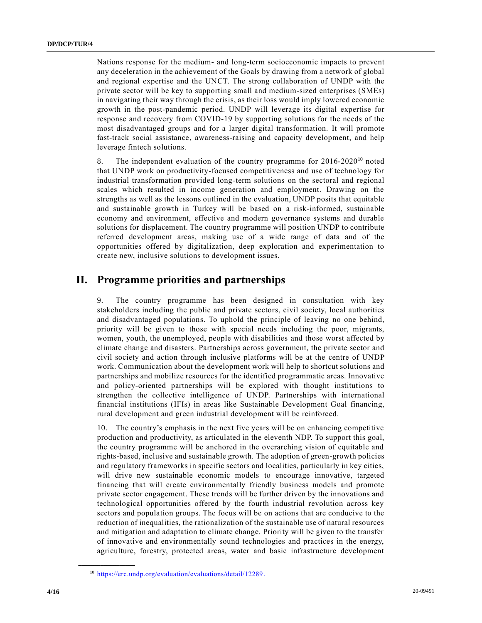Nations response for the medium- and long-term socioeconomic impacts to prevent any deceleration in the achievement of the Goals by drawing from a network of global and regional expertise and the UNCT. The strong collaboration of UNDP with the private sector will be key to supporting small and medium-sized enterprises (SMEs) in navigating their way through the crisis, as their loss would imply lowered economic growth in the post-pandemic period. UNDP will leverage its digital expertise for response and recovery from COVID-19 by supporting solutions for the needs of the most disadvantaged groups and for a larger digital transformation. It will promote fast-track social assistance, awareness-raising and capacity development, and help leverage fintech solutions.

8. The independent evaluation of the country programme for  $2016-2020^{10}$  noted that UNDP work on productivity-focused competitiveness and use of technology for industrial transformation provided long-term solutions on the sectoral and regional scales which resulted in income generation and employment. Drawing on the strengths as well as the lessons outlined in the evaluation, UNDP posits that equitable and sustainable growth in Turkey will be based on a risk-informed, sustainable economy and environment, effective and modern governance systems and durable solutions for displacement. The country programme will position UNDP to contribute referred development areas, making use of a wide range of data and of the opportunities offered by digitalization, deep exploration and experimentation to create new, inclusive solutions to development issues.

### **II. Programme priorities and partnerships**

9. The country programme has been designed in consultation with key stakeholders including the public and private sectors, civil society, local authorities and disadvantaged populations. To uphold the principle of leaving no one behind, priority will be given to those with special needs including the poor, migrants, women, youth, the unemployed, people with disabilities and those worst affected by climate change and disasters. Partnerships across government, the private sector and civil society and action through inclusive platforms will be at the centre of UNDP work. Communication about the development work will help to shortcut solutions and partnerships and mobilize resources for the identified programmatic areas. Innovative and policy-oriented partnerships will be explored with thought institutions to strengthen the collective intelligence of UNDP. Partnerships with international financial institutions (IFIs) in areas like Sustainable Development Goal financing, rural development and green industrial development will be reinforced.

10. The country's emphasis in the next five years will be on enhancing competitive production and productivity, as articulated in the eleventh NDP. To support this goal, the country programme will be anchored in the overarching vision of equitable and rights-based, inclusive and sustainable growth. The adoption of green-growth policies and regulatory frameworks in specific sectors and localities, particularly in key cities, will drive new sustainable economic models to encourage innovative, targeted financing that will create environmentally friendly business models and promote private sector engagement. These trends will be further driven by the innovations and technological opportunities offered by the fourth industrial revolution across key sectors and population groups. The focus will be on actions that are conducive to the reduction of inequalities, the rationalization of the sustainable use of natural resources and mitigation and adaptation to climate change. Priority will be given to the transfer of innovative and environmentally sound technologies and practices in the energy, agriculture, forestry, protected areas, water and basic infrastructure development

<sup>10</sup> [https://erc.undp.org/evaluation/evaluations/detail/12289.](https://erc.undp.org/evaluation/evaluations/detail/12289)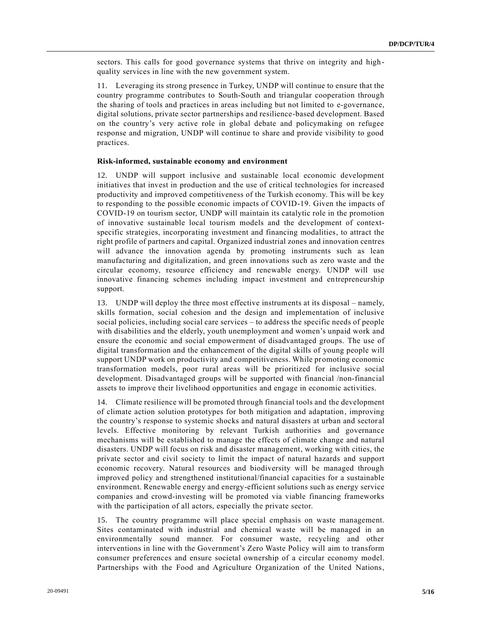sectors. This calls for good governance systems that thrive on integrity and highquality services in line with the new government system.

11. Leveraging its strong presence in Turkey, UNDP will continue to ensure that the country programme contributes to South-South and triangular cooperation through the sharing of tools and practices in areas including but not limited to e-governance, digital solutions, private sector partnerships and resilience-based development. Based on the country's very active role in global debate and policymaking on refugee response and migration, UNDP will continue to share and provide visibility to good practices.

#### **Risk-informed, sustainable economy and environment**

12. UNDP will support inclusive and sustainable local economic development initiatives that invest in production and the use of critical technologies for increased productivity and improved competitiveness of the Turkish economy. This will be key to responding to the possible economic impacts of COVID-19. Given the impacts of COVID-19 on tourism sector, UNDP will maintain its catalytic role in the promotion of innovative sustainable local tourism models and the development of contextspecific strategies, incorporating investment and financing modalities, to attract the right profile of partners and capital. Organized industrial zones and innovation centres will advance the innovation agenda by promoting instruments such as lean manufacturing and digitalization, and green innovations such as zero waste and the circular economy, resource efficiency and renewable energy. UNDP will use innovative financing schemes including impact investment and entrepreneurship support.

13. UNDP will deploy the three most effective instruments at its disposal – namely, skills formation, social cohesion and the design and implementation of inclusive social policies, including social care services – to address the specific needs of people with disabilities and the elderly, youth unemployment and women's unpaid work and ensure the economic and social empowerment of disadvantaged groups. The use of digital transformation and the enhancement of the digital skills of young people will support UNDP work on productivity and competitiveness. While promoting economic transformation models, poor rural areas will be prioritized for inclusive social development. Disadvantaged groups will be supported with financial /non-financial assets to improve their livelihood opportunities and engage in economic activities.

14. Climate resilience will be promoted through financial tools and the development of climate action solution prototypes for both mitigation and adaptation, improving the country's response to systemic shocks and natural disasters at urban and sector al levels. Effective monitoring by relevant Turkish authorities and governance mechanisms will be established to manage the effects of climate change and natural disasters. UNDP will focus on risk and disaster management, working with cities, the private sector and civil society to limit the impact of natural hazards and support economic recovery. Natural resources and biodiversity will be managed through improved policy and strengthened institutional/financial capacities for a sustainable environment. Renewable energy and energy-efficient solutions such as energy service companies and crowd-investing will be promoted via viable financing frameworks with the participation of all actors, especially the private sector.

15. The country programme will place special emphasis on waste management. Sites contaminated with industrial and chemical waste will be managed in an environmentally sound manner. For consumer waste, recycling and other interventions in line with the Government's Zero Waste Policy will aim to transform consumer preferences and ensure societal ownership of a circular economy model. Partnerships with the Food and Agriculture Organization of the United Nations,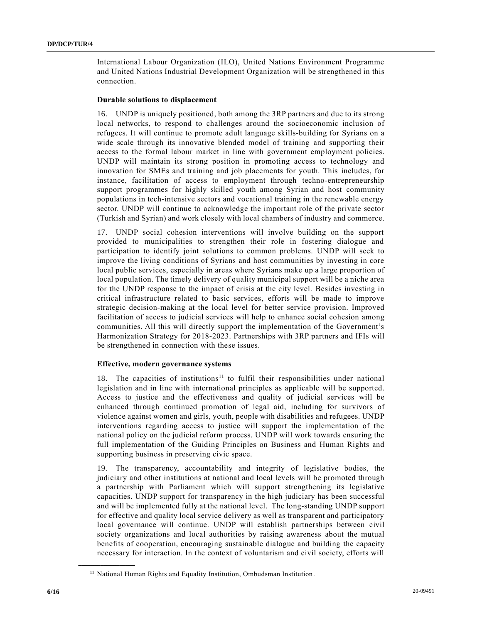International Labour Organization (ILO), United Nations Environment Programme and United Nations Industrial Development Organization will be strengthened in this connection.

#### **Durable solutions to displacement**

16. UNDP is uniquely positioned, both among the 3RP partners and due to its strong local networks, to respond to challenges around the socioeconomic inclusion of refugees. It will continue to promote adult language skills-building for Syrians on a wide scale through its innovative blended model of training and supporting their access to the formal labour market in line with government employment policies. UNDP will maintain its strong position in promoting access to technology and innovation for SMEs and training and job placements for youth. This includes, for instance, facilitation of access to employment through techno-entrepreneurship support programmes for highly skilled youth among Syrian and host community populations in tech-intensive sectors and vocational training in the renewable energy sector. UNDP will continue to acknowledge the important role of the private sector (Turkish and Syrian) and work closely with local chambers of industry and commerce.

17. UNDP social cohesion interventions will involve building on the support provided to municipalities to strengthen their role in fostering dialogue and participation to identify joint solutions to common problems. UNDP will seek to improve the living conditions of Syrians and host communities by investing in core local public services, especially in areas where Syrians make up a large proportion of local population. The timely delivery of quality municipal support will be a niche area for the UNDP response to the impact of crisis at the city level. Besides investing in critical infrastructure related to basic services, efforts will be made to improve strategic decision-making at the local level for better service provision. Improved facilitation of access to judicial services will help to enhance social cohesion among communities. All this will directly support the implementation of the Government's Harmonization Strategy for 2018-2023. Partnerships with 3RP partners and IFIs will be strengthened in connection with these issues.

#### **Effective, modern governance systems**

18. The capacities of institutions<sup>11</sup> to fulfil their responsibilities under national legislation and in line with international principles as applicable will be supported. Access to justice and the effectiveness and quality of judicial services will be enhanced through continued promotion of legal aid, including for survivors of violence against women and girls, youth, people with disabilities and refugees. UNDP interventions regarding access to justice will support the implementation of the national policy on the judicial reform process. UNDP will work towards ensuring the full implementation of the Guiding Principles on Business and Human Rights and supporting business in preserving civic space.

19. The transparency, accountability and integrity of legislative bodies, the judiciary and other institutions at national and local levels will be promoted through a partnership with Parliament which will support strengthening its legislative capacities. UNDP support for transparency in the high judiciary has been successful and will be implemented fully at the national level. The long-standing UNDP support for effective and quality local service delivery as well as transparent and participatory local governance will continue. UNDP will establish partnerships between civil society organizations and local authorities by raising awareness about the mutual benefits of cooperation, encouraging sustainable dialogue and building the capacity necessary for interaction. In the context of voluntarism and civil society, efforts will

<sup>&</sup>lt;sup>11</sup> National Human Rights and Equality Institution, Ombudsman Institution.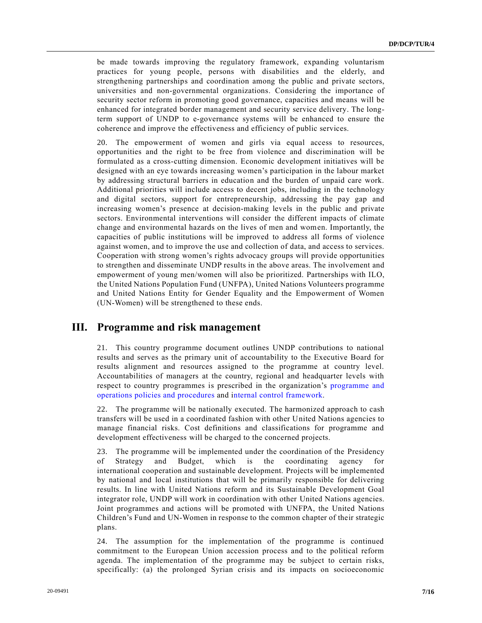be made towards improving the regulatory framework, expanding voluntarism practices for young people, persons with disabilities and the elderly, and strengthening partnerships and coordination among the public and private sectors, universities and non-governmental organizations. Considering the importance of security sector reform in promoting good governance, capacities and means will be enhanced for integrated border management and security service delivery. The longterm support of UNDP to e-governance systems will be enhanced to ensure the coherence and improve the effectiveness and efficiency of public services.

20. The empowerment of women and girls via equal access to resources, opportunities and the right to be free from violence and discrimination will be formulated as a cross-cutting dimension. Economic development initiatives will be designed with an eye towards increasing women's participation in the labour market by addressing structural barriers in education and the burden of unpaid care work. Additional priorities will include access to decent jobs, including in the technology and digital sectors, support for entrepreneurship, addressing the pay gap and increasing women's presence at decision-making levels in the public and private sectors. Environmental interventions will consider the different impacts of climate change and environmental hazards on the lives of men and women. Importantly, the capacities of public institutions will be improved to address all forms of violence against women, and to improve the use and collection of data, and access to services. Cooperation with strong women's rights advocacy groups will provide opportunities to strengthen and disseminate UNDP results in the above areas. The involvement and empowerment of young men/women will also be prioritized. Partnerships with ILO, the United Nations Population Fund (UNFPA), United Nations Volunteers programme and United Nations Entity for Gender Equality and the Empowerment of Women (UN-Women) will be strengthened to these ends.

### **III. Programme and risk management**

21. This country programme document outlines UNDP contributions to national results and serves as the primary unit of accountability to the Executive Board for results alignment and resources assigned to the programme at country level. Accountabilities of managers at the country, regional and headquarter levels with respect to country programmes is prescribed in the organization's [programme and](https://popp.undp.org/)  [operations policies and procedures](https://popp.undp.org/) and [internal control framework.](https://popp.undp.org/SitePages/POPPSubject.aspx?SBJID=7&Menu=BusinessUnit)

22. The programme will be nationally executed. The harmonized approach to cash transfers will be used in a coordinated fashion with other United Nations agencies to manage financial risks. Cost definitions and classifications for programme and development effectiveness will be charged to the concerned projects.

23. The programme will be implemented under the coordination of the Presidency of Strategy and Budget, which is the coordinating agency for international cooperation and sustainable development. Projects will be implemented by national and local institutions that will be primarily responsible for delivering results. In line with United Nations reform and its Sustainable Development Goal integrator role, UNDP will work in coordination with other United Nations agencies. Joint programmes and actions will be promoted with UNFPA, the United Nations Children's Fund and UN-Women in response to the common chapter of their strategic plans.

24. The assumption for the implementation of the programme is continued commitment to the European Union accession process and to the political reform agenda. The implementation of the programme may be subject to certain risks, specifically: (a) the prolonged Syrian crisis and its impacts on socioeconomic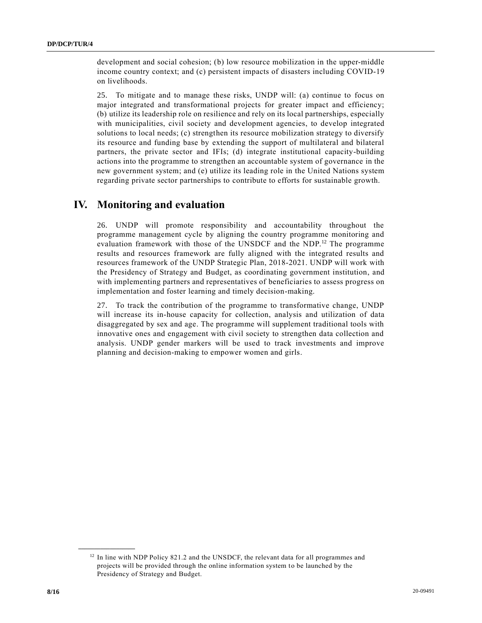development and social cohesion; (b) low resource mobilization in the upper-middle income country context; and (c) persistent impacts of disasters including COVID-19 on livelihoods.

25. To mitigate and to manage these risks, UNDP will: (a) continue to focus on major integrated and transformational projects for greater impact and efficiency; (b) utilize its leadership role on resilience and rely on its local partnerships, especially with municipalities, civil society and development agencies, to develop integrated solutions to local needs; (c) strengthen its resource mobilization strategy to diversify its resource and funding base by extending the support of multilateral and bilateral partners, the private sector and IFIs; (d) integrate institutional capacity-building actions into the programme to strengthen an accountable system of governance in the new government system; and (e) utilize its leading role in the United Nations system regarding private sector partnerships to contribute to efforts for sustainable growth.

## **IV. Monitoring and evaluation**

26. UNDP will promote responsibility and accountability throughout the programme management cycle by aligning the country programme monitoring and evaluation framework with those of the UNSDCF and the NDP.<sup>12</sup> The programme results and resources framework are fully aligned with the integrated results and resources framework of the UNDP Strategic Plan, 2018-2021. UNDP will work with the Presidency of Strategy and Budget, as coordinating government institution, and with implementing partners and representatives of beneficiaries to assess progress on implementation and foster learning and timely decision-making.

27. To track the contribution of the programme to transformative change, UNDP will increase its in-house capacity for collection, analysis and utilization of data disaggregated by sex and age. The programme will supplement traditional tools with innovative ones and engagement with civil society to strengthen data collection and analysis. UNDP gender markers will be used to track investments and improve planning and decision-making to empower women and girls.

<sup>&</sup>lt;sup>12</sup> In line with NDP Policy 821.2 and the UNSDCF, the relevant data for all programmes and projects will be provided through the online information system to be launched by the Presidency of Strategy and Budget.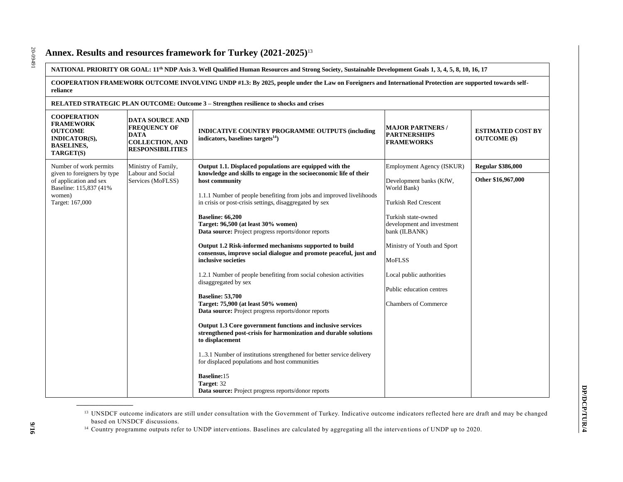### **Annex. Results and resources framework for Turkey (2021-2025)**<sup>13</sup>

**NATIONAL PRIORITY OR GOAL: 11th NDP Axis 3. Well Qualified Human Resources and Strong Society, Sustainable Development Goals 1, 3, 4, 5, 8, 10, 16, 17**

**COOPERATION FRAMEWORK OUTCOME INVOLVING UNDP #1.3: By 2025, people under the Law on Foreigners and International Protection are supported towards selfreliance**

| RELATED STRATEGIC PLAN OUTCOME: Outcome 3 – Strengthen resilience to shocks and crises                             |                                                                                                                   |                                                                                                                                                    |                                                                     |                                                 |
|--------------------------------------------------------------------------------------------------------------------|-------------------------------------------------------------------------------------------------------------------|----------------------------------------------------------------------------------------------------------------------------------------------------|---------------------------------------------------------------------|-------------------------------------------------|
| <b>COOPERATION</b><br><b>FRAMEWORK</b><br><b>OUTCOME</b><br><b>INDICATOR(S),</b><br><b>BASELINES,</b><br>TARGET(S) | <b>DATA SOURCE AND</b><br><b>FREQUENCY OF</b><br><b>DATA</b><br><b>COLLECTION, AND</b><br><b>RESPONSIBILITIES</b> | <b>INDICATIVE COUNTRY PROGRAMME OUTPUTS (including</b><br>indicators, baselines targets $^{14}$ )                                                  | <b>MAJOR PARTNERS /</b><br><b>PARTNERSHIPS</b><br><b>FRAMEWORKS</b> | <b>ESTIMATED COST BY</b><br><b>OUTCOME</b> (\$) |
| Number of work permits<br>given to foreigners by type                                                              | Ministry of Family,<br>Labour and Social                                                                          | Output 1.1. Displaced populations are equipped with the<br>knowledge and skills to engage in the socioeconomic life of their                       | Employment Agency (ISKUR)                                           | <b>Regular \$386,000</b>                        |
| of application and sex<br>Baseline: 115,837 (41%)                                                                  | Services (MoFLSS)                                                                                                 | host community                                                                                                                                     | Development banks (KfW,<br>World Bank)                              | Other \$16,967,000                              |
| women)<br>Target: 167,000                                                                                          |                                                                                                                   | 1.1.1 Number of people benefiting from jobs and improved livelihoods<br>in crisis or post-crisis settings, disaggregated by sex                    | <b>Turkish Red Crescent</b>                                         |                                                 |
|                                                                                                                    |                                                                                                                   | <b>Baseline: 66,200</b><br>Target: 96,500 (at least 30% women)<br>Data source: Project progress reports/donor reports                              | Turkish state-owned<br>development and investment<br>bank (ILBANK)  |                                                 |
|                                                                                                                    |                                                                                                                   | Output 1.2 Risk-informed mechanisms supported to build<br>consensus, improve social dialogue and promote peaceful, just and<br>inclusive societies | Ministry of Youth and Sport<br><b>MoFLSS</b>                        |                                                 |
|                                                                                                                    |                                                                                                                   | 1.2.1 Number of people benefiting from social cohesion activities<br>disaggregated by sex                                                          | Local public authorities                                            |                                                 |
|                                                                                                                    |                                                                                                                   | <b>Baseline: 53,700</b>                                                                                                                            | Public education centres                                            |                                                 |
|                                                                                                                    |                                                                                                                   | Target: 75,900 (at least 50% women)<br>Data source: Project progress reports/donor reports                                                         | <b>Chambers of Commerce</b>                                         |                                                 |
|                                                                                                                    |                                                                                                                   | Output 1.3 Core government functions and inclusive services<br>strengthened post-crisis for harmonization and durable solutions<br>to displacement |                                                                     |                                                 |
|                                                                                                                    |                                                                                                                   | 13.1 Number of institutions strengthened for better service delivery<br>for displaced populations and host communities                             |                                                                     |                                                 |
|                                                                                                                    |                                                                                                                   | <b>Baseline:15</b><br>Target: 32<br>Data source: Project progress reports/donor reports                                                            |                                                                     |                                                 |

<sup>&</sup>lt;sup>13</sup> UNSDCF outcome indicators are still under consultation with the Government of Turkey. Indicative outcome indicators reflected here are draft and may be changed based on UNSDCF discussions.

<sup>&</sup>lt;sup>14</sup> Country programme outputs refer to UNDP interventions. Baselines are calculated by aggregating all the interventions of UNDP up to 2020.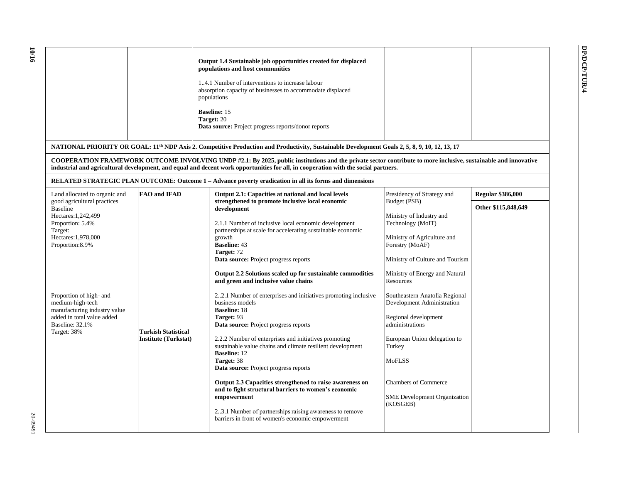$\mathcal{L}_{\mathcal{A}}$ 

|                               |                            | Output 1.4 Sustainable job opportunities created for displaced<br>populations and host communities<br>4.1 Number of interventions to increase labour<br>absorption capacity of businesses to accommodate displaced<br>populations<br><b>Baseline: 15</b><br>Target: 20<br><b>Data source:</b> Project progress reports/donor reports |                            |                          |
|-------------------------------|----------------------------|--------------------------------------------------------------------------------------------------------------------------------------------------------------------------------------------------------------------------------------------------------------------------------------------------------------------------------------|----------------------------|--------------------------|
|                               |                            | NATIONAL PRIORITY OR GOAL: 11 <sup>th</sup> NDP Axis 2. Competitive Production and Productivity, Sustainable Development Goals 2, 5, 8, 9, 10, 12, 13, 17                                                                                                                                                                            |                            |                          |
|                               |                            | COOPERATION FRAMEWORK OUTCOME INVOLVING UNDP #2.1: By 2025, public institutions and the private sector contribute to more inclusive, sustainable and innovative<br>industrial and agricultural development, and equal and decent work opportunities for all, in cooperation with the social partners.                                |                            |                          |
|                               |                            | RELATED STRATEGIC PLAN OUTCOME: Outcome 1 – Advance poverty eradication in all its forms and dimensions                                                                                                                                                                                                                              |                            |                          |
| Land allocated to organic and | <b>FAO</b> and <b>IFAD</b> | Output 2.1: Capacities at national and local levels                                                                                                                                                                                                                                                                                  | Presidency of Strategy and | <b>Regular \$386,000</b> |
| good agricultural practices   |                            | strengthened to promote inclusive local economic                                                                                                                                                                                                                                                                                     | Budget (PSB)               |                          |

| Land allocated to organic and                                                                                                               | <b>FAO</b> and <b>IFAD</b>                                | Output 2.1: Capacities at national and local levels                                                                                                                                                                                                                                                                                                                                                                                                                                                                                                                                                                     | Presidency of Strategy and                                                                                                                                                                                                                           | <b>Regular \$386,000</b> |
|---------------------------------------------------------------------------------------------------------------------------------------------|-----------------------------------------------------------|-------------------------------------------------------------------------------------------------------------------------------------------------------------------------------------------------------------------------------------------------------------------------------------------------------------------------------------------------------------------------------------------------------------------------------------------------------------------------------------------------------------------------------------------------------------------------------------------------------------------------|------------------------------------------------------------------------------------------------------------------------------------------------------------------------------------------------------------------------------------------------------|--------------------------|
| good agricultural practices<br><b>Baseline</b>                                                                                              |                                                           | strengthened to promote inclusive local economic<br>development                                                                                                                                                                                                                                                                                                                                                                                                                                                                                                                                                         | Budget (PSB)                                                                                                                                                                                                                                         | Other \$115,848,649      |
| Hectares: 1,242,499<br>Proportion: 5.4%<br>Target:<br>Hectares: 1,978,000<br>Proportion:8.9%                                                |                                                           | 2.1.1 Number of inclusive local economic development<br>partnerships at scale for accelerating sustainable economic<br>growth<br><b>Baseline: 43</b><br>Target: 72<br><b>Data source:</b> Project progress reports                                                                                                                                                                                                                                                                                                                                                                                                      | Ministry of Industry and<br>Technology (MoIT)<br>Ministry of Agriculture and<br>Forestry (MoAF)<br>Ministry of Culture and Tourism                                                                                                                   |                          |
|                                                                                                                                             |                                                           | Output 2.2 Solutions scaled up for sustainable commodities<br>and green and inclusive value chains                                                                                                                                                                                                                                                                                                                                                                                                                                                                                                                      | Ministry of Energy and Natural<br>Resources                                                                                                                                                                                                          |                          |
| Proportion of high- and<br>medium-high-tech<br>manufacturing industry value<br>added in total value added<br>Baseline: 32.1%<br>Target: 38% | <b>Turkish Statistical</b><br><b>Institute (Turkstat)</b> | 22.1 Number of enterprises and initiatives promoting inclusive<br>business models<br><b>Baseline: 18</b><br>Target: 93<br>Data source: Project progress reports<br>2.2.2 Number of enterprises and initiatives promoting<br>sustainable value chains and climate resilient development<br><b>Baseline: 12</b><br>Target: 38<br>Data source: Project progress reports<br>Output 2.3 Capacities strengthened to raise awareness on<br>and to fight structural barriers to women's economic<br>empowerment<br>23.1 Number of partnerships raising awareness to remove<br>barriers in front of women's economic empowerment | Southeastern Anatolia Regional<br>Development Administration<br>Regional development<br>administrations<br>European Union delegation to<br>Turkey<br><b>MoFLSS</b><br><b>Chambers of Commerce</b><br><b>SME</b> Development Organization<br>(KOSGEB) |                          |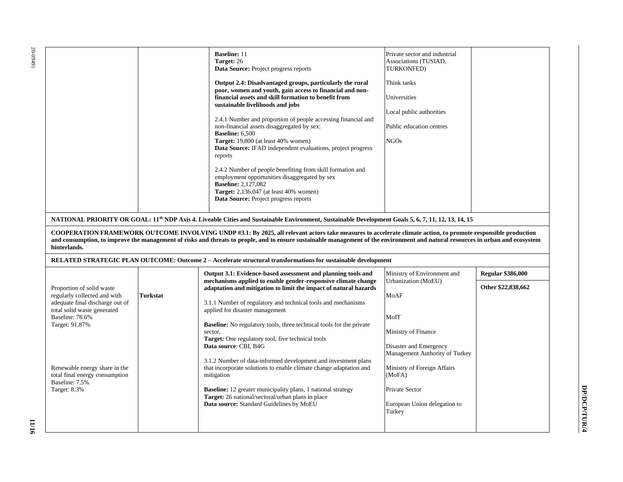| hinterlands.                                                                                                                                                                                                                                          | <b>Baseline: 11</b><br>Private sector and industrial<br>Target: 26<br>Associations (TUSIAD,<br>Data Source: Project progress reports<br>TURKONFED)<br>Output 2.4: Disadvantaged groups, particularly the rural<br>Think tanks<br>poor, women and youth, gain access to financial and non-<br>financial assets and skill formation to benefit from<br>Universities<br>sustainable livelihoods and jobs<br>Local public authorities<br>2.4.1 Number and proportion of people accessing financial and<br>non-financial assets disaggregated by sex:<br>Public education centres<br><b>Baseline:</b> 6,500<br>Target: 19,800 (at least 40% women)<br><b>NGOs</b><br>Data Source: IFAD independent evaluations, project progress<br>reports<br>2.4.2 Number of people benefiting from skill formation and<br>employment opportunities disaggregated by sex<br><b>Baseline: 2,127,082</b><br><b>Target:</b> 2,136,047 (at least 40% women)<br>Data Source: Project progress reports<br>NATIONAL PRIORITY OR GOAL: 11 <sup>th</sup> NDP Axis 4. Liveable Cities and Sustainable Environment, Sustainable Development Goals 5, 6, 7, 11, 12, 13, 14, 15<br>COOPERATION FRAMEWORK OUTCOME INVOLVING UNDP #3.1: By 2025, all relevant actors take measures to accelerate climate action, to promote responsible production<br>and consumption, to improve the management of risks and threats to people, and to ensure sustainable management of the environment and natural resources in urban and ecosystem |                                                                                                                                                                                                                                                                                                                                                                                                                                                                                                                                                                     |                                                                                                                                                                 |                    |  |
|-------------------------------------------------------------------------------------------------------------------------------------------------------------------------------------------------------------------------------------------------------|-----------------------------------------------------------------------------------------------------------------------------------------------------------------------------------------------------------------------------------------------------------------------------------------------------------------------------------------------------------------------------------------------------------------------------------------------------------------------------------------------------------------------------------------------------------------------------------------------------------------------------------------------------------------------------------------------------------------------------------------------------------------------------------------------------------------------------------------------------------------------------------------------------------------------------------------------------------------------------------------------------------------------------------------------------------------------------------------------------------------------------------------------------------------------------------------------------------------------------------------------------------------------------------------------------------------------------------------------------------------------------------------------------------------------------------------------------------------------------------------------------|---------------------------------------------------------------------------------------------------------------------------------------------------------------------------------------------------------------------------------------------------------------------------------------------------------------------------------------------------------------------------------------------------------------------------------------------------------------------------------------------------------------------------------------------------------------------|-----------------------------------------------------------------------------------------------------------------------------------------------------------------|--------------------|--|
|                                                                                                                                                                                                                                                       | RELATED STRATEGIC PLAN OUTCOME: Outcome 2 - Accelerate structural transformations for sustainable development<br>Output 3.1: Evidence-based assessment and planning tools and<br>Ministry of Environment and<br><b>Regular \$386,000</b>                                                                                                                                                                                                                                                                                                                                                                                                                                                                                                                                                                                                                                                                                                                                                                                                                                                                                                                                                                                                                                                                                                                                                                                                                                                            |                                                                                                                                                                                                                                                                                                                                                                                                                                                                                                                                                                     |                                                                                                                                                                 |                    |  |
| Proportion of solid waste<br>regularly collected and with<br>adequate final discharge out of<br>total solid waste generated<br>Baseline: 78.6%<br>Target: 91.87%<br>Renewable energy share in the<br>total final energy consumption<br>Baseline: 7.5% | <b>Turkstat</b>                                                                                                                                                                                                                                                                                                                                                                                                                                                                                                                                                                                                                                                                                                                                                                                                                                                                                                                                                                                                                                                                                                                                                                                                                                                                                                                                                                                                                                                                                     | mechanisms applied to enable gender-responsive climate change<br>adaptation and mitigation to limit the impact of natural hazards<br>3.1.1 Number of regulatory and technical tools and mechanisms<br>applied for disaster management<br><b>Baseline:</b> No regulatory tools, three technical tools for the private<br>sector,<br>Target: One regulatory tool, five technical tools<br>Data source: CBI, B4G<br>3.1.2 Number of data-informed development and investment plans<br>that incorporate solutions to enable climate change adaptation and<br>mitigation | Urbanization (MoEU)<br>MoAF<br>MoIT<br>Ministry of Finance<br>Disaster and Emergency<br>Management Authority of Turkey<br>Ministry of Foreign Affairs<br>(MoFA) | Other \$22,838,662 |  |
| <b>Target: 8.3%</b>                                                                                                                                                                                                                                   |                                                                                                                                                                                                                                                                                                                                                                                                                                                                                                                                                                                                                                                                                                                                                                                                                                                                                                                                                                                                                                                                                                                                                                                                                                                                                                                                                                                                                                                                                                     | Baseline: 12 greater municipality plans, 1 national strategy<br>Target: 26 national/sectoral/urban plans in place<br>Data source: Standard Guidelines by MoEU                                                                                                                                                                                                                                                                                                                                                                                                       | Private Sector<br>European Union delegation to<br>Turkey                                                                                                        |                    |  |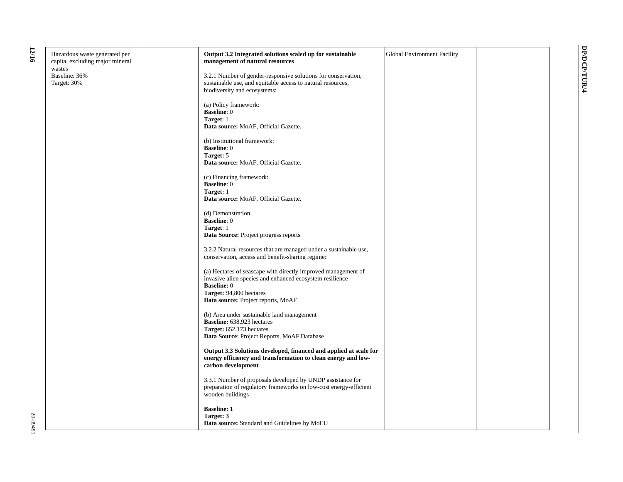| ×<br>I |  |
|--------|--|

| Hazardous waste generated per   | Output 3.2 Integrated solutions scaled up for sustainable         | <b>Global Environment Facility</b> |  |
|---------------------------------|-------------------------------------------------------------------|------------------------------------|--|
| capita, excluding major mineral | management of natural resources                                   |                                    |  |
| wastes                          |                                                                   |                                    |  |
| Baseline: 36%                   | 3.2.1 Number of gender-responsive solutions for conservation,     |                                    |  |
| Target: 30%                     | sustainable use, and equitable access to natural resources,       |                                    |  |
|                                 | biodiversity and ecosystems:                                      |                                    |  |
|                                 |                                                                   |                                    |  |
|                                 | (a) Policy framework:                                             |                                    |  |
|                                 | <b>Baseline: 0</b>                                                |                                    |  |
|                                 | Target: 1                                                         |                                    |  |
|                                 | Data source: MoAF, Official Gazette.                              |                                    |  |
|                                 | (b) Institutional framework:                                      |                                    |  |
|                                 | <b>Baseline: 0</b>                                                |                                    |  |
|                                 | Target: 5                                                         |                                    |  |
|                                 | Data source: MoAF, Official Gazette.                              |                                    |  |
|                                 |                                                                   |                                    |  |
|                                 | (c) Financing framework:                                          |                                    |  |
|                                 | <b>Baseline: 0</b>                                                |                                    |  |
|                                 | Target: 1                                                         |                                    |  |
|                                 | Data source: MoAF, Official Gazette.                              |                                    |  |
|                                 |                                                                   |                                    |  |
|                                 | (d) Demonstration                                                 |                                    |  |
|                                 | <b>Baseline: 0</b>                                                |                                    |  |
|                                 | Target: 1                                                         |                                    |  |
|                                 | Data Source: Project progress reports                             |                                    |  |
|                                 | 3.2.2 Natural resources that are managed under a sustainable use, |                                    |  |
|                                 | conservation, access and benefit-sharing regime:                  |                                    |  |
|                                 |                                                                   |                                    |  |
|                                 | (a) Hectares of seascape with directly improved management of     |                                    |  |
|                                 | invasive alien species and enhanced ecosystem resilience          |                                    |  |
|                                 | <b>Baseline: 0</b>                                                |                                    |  |
|                                 | Target: 94,800 hectares                                           |                                    |  |
|                                 | Data source: Project reports, MoAF                                |                                    |  |
|                                 |                                                                   |                                    |  |
|                                 | (b) Area under sustainable land management                        |                                    |  |
|                                 | Baseline: 638,923 hectares                                        |                                    |  |
|                                 | Target: 652,173 hectares                                          |                                    |  |
|                                 | Data Source: Project Reports, MoAF Database                       |                                    |  |
|                                 | Output 3.3 Solutions developed, financed and applied at scale for |                                    |  |
|                                 | energy efficiency and transformation to clean energy and low-     |                                    |  |
|                                 | carbon development                                                |                                    |  |
|                                 |                                                                   |                                    |  |
|                                 | 3.3.1 Number of proposals developed by UNDP assistance for        |                                    |  |
|                                 | preparation of regulatory frameworks on low-cost energy-efficient |                                    |  |
|                                 | wooden buildings                                                  |                                    |  |
|                                 |                                                                   |                                    |  |
|                                 | <b>Baseline: 1</b>                                                |                                    |  |
|                                 | Target: 3                                                         |                                    |  |
|                                 | Data source: Standard and Guidelines by MoEU                      |                                    |  |
|                                 |                                                                   |                                    |  |

**DP/DCP/TUR/4**

DP/DCP/TUR/4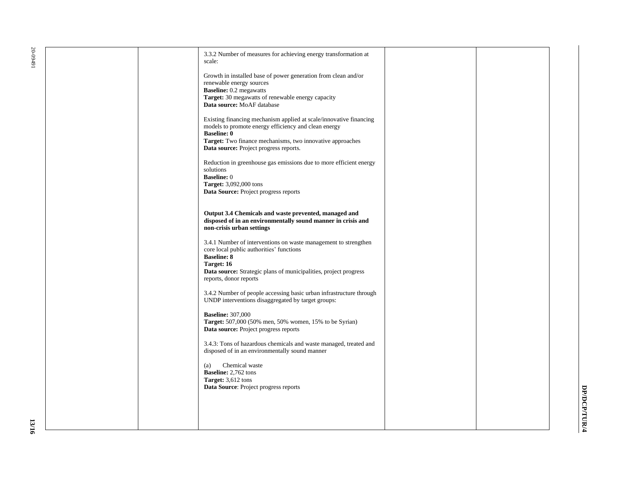| 3.3.2 Number of measures for achieving energy transformation at<br>scale:                                                                                                                                                                               |  |
|---------------------------------------------------------------------------------------------------------------------------------------------------------------------------------------------------------------------------------------------------------|--|
| Growth in installed base of power generation from clean and/or<br>renewable energy sources<br><b>Baseline:</b> 0.2 megawatts<br>Target: 30 megawatts of renewable energy capacity<br>Data source: MoAF database                                         |  |
| Existing financing mechanism applied at scale/innovative financing<br>models to promote energy efficiency and clean energy<br><b>Baseline: 0</b><br>Target: Two finance mechanisms, two innovative approaches<br>Data source: Project progress reports. |  |
| Reduction in greenhouse gas emissions due to more efficient energy<br>solutions<br><b>Baseline: 0</b><br>Target: 3,092,000 tons<br>Data Source: Project progress reports                                                                                |  |
| Output 3.4 Chemicals and waste prevented, managed and<br>disposed of in an environmentally sound manner in crisis and<br>non-crisis urban settings                                                                                                      |  |
| 3.4.1 Number of interventions on waste management to strengthen<br>core local public authorities' functions<br><b>Baseline: 8</b><br>Target: 16<br><b>Data source:</b> Strategic plans of municipalities, project progress<br>reports, donor reports    |  |
| 3.4.2 Number of people accessing basic urban infrastructure through<br>UNDP interventions disaggregated by target groups:                                                                                                                               |  |
| <b>Baseline: 307,000</b><br>Target: 507,000 (50% men, 50% women, 15% to be Syrian)<br>Data source: Project progress reports                                                                                                                             |  |
| 3.4.3: Tons of hazardous chemicals and waste managed, treated and<br>disposed of in an environmentally sound manner                                                                                                                                     |  |
| Chemical waste<br>(a)<br>Baseline: 2,762 tons<br>Target: 3,612 tons<br>Data Source: Project progress reports                                                                                                                                            |  |
|                                                                                                                                                                                                                                                         |  |
|                                                                                                                                                                                                                                                         |  |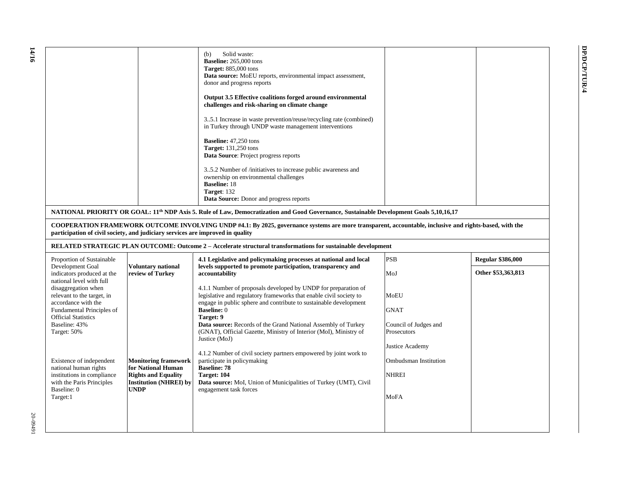|                                                                                                                                                                                                                                                                                                                                            |                                                                                                                                 | Solid waste:<br>(b)<br>Baseline: 265,000 tons<br><b>Target:</b> 885,000 tons<br>Data source: MoEU reports, environmental impact assessment,<br>donor and progress reports<br>Output 3.5 Effective coalitions forged around environmental<br>challenges and risk-sharing on climate change<br>35.1 Increase in waste prevention/reuse/recycling rate (combined)<br>in Turkey through UNDP waste management interventions<br><b>Baseline:</b> 47,250 tons<br><b>Target:</b> 131,250 tons<br><b>Data Source:</b> Project progress reports<br>35.2 Number of /initiatives to increase public awareness and<br>ownership on environmental challenges<br><b>Baseline: 18</b><br>Target: 132<br><b>Data Source:</b> Donor and progress reports |                                                                                                                                        |                                                |
|--------------------------------------------------------------------------------------------------------------------------------------------------------------------------------------------------------------------------------------------------------------------------------------------------------------------------------------------|---------------------------------------------------------------------------------------------------------------------------------|-----------------------------------------------------------------------------------------------------------------------------------------------------------------------------------------------------------------------------------------------------------------------------------------------------------------------------------------------------------------------------------------------------------------------------------------------------------------------------------------------------------------------------------------------------------------------------------------------------------------------------------------------------------------------------------------------------------------------------------------|----------------------------------------------------------------------------------------------------------------------------------------|------------------------------------------------|
|                                                                                                                                                                                                                                                                                                                                            |                                                                                                                                 | NATIONAL PRIORITY OR GOAL: 11 <sup>th</sup> NDP Axis 5. Rule of Law, Democratization and Good Governance, Sustainable Development Goals 5,10,16,17                                                                                                                                                                                                                                                                                                                                                                                                                                                                                                                                                                                      |                                                                                                                                        |                                                |
| participation of civil society, and judiciary services are improved in quality                                                                                                                                                                                                                                                             |                                                                                                                                 | COOPERATION FRAMEWORK OUTCOME INVOLVING UNDP #4.1: By 2025, governance systems are more transparent, accountable, inclusive and rights-based, with the                                                                                                                                                                                                                                                                                                                                                                                                                                                                                                                                                                                  |                                                                                                                                        |                                                |
|                                                                                                                                                                                                                                                                                                                                            |                                                                                                                                 | RELATED STRATEGIC PLAN OUTCOME: Outcome 2 – Accelerate structural transformations for sustainable development                                                                                                                                                                                                                                                                                                                                                                                                                                                                                                                                                                                                                           |                                                                                                                                        |                                                |
| Proportion of Sustainable<br>Development Goal<br>indicators produced at the                                                                                                                                                                                                                                                                | <b>Voluntary national</b><br>review of Turkey                                                                                   | 4.1 Legislative and policymaking processes at national and local<br>levels supported to promote participation, transparency and<br>accountability                                                                                                                                                                                                                                                                                                                                                                                                                                                                                                                                                                                       | <b>PSB</b><br>MoJ                                                                                                                      | <b>Regular \$386,000</b><br>Other \$53,363,813 |
| national level with full<br>disaggregation when<br>relevant to the target, in<br>accordance with the<br>Fundamental Principles of<br><b>Official Statistics</b><br>Baseline: 43%<br>Target: 50%<br>Existence of independent<br>national human rights<br>institutions in compliance<br>with the Paris Principles<br>Baseline: 0<br>Target:1 | <b>Monitoring framework</b><br>for National Human<br><b>Rights and Equality</b><br><b>Institution (NHREI) by</b><br><b>UNDP</b> | 4.1.1 Number of proposals developed by UNDP for preparation of<br>legislative and regulatory frameworks that enable civil society to<br>engage in public sphere and contribute to sustainable development<br><b>Baseline: 0</b><br>Target: 9<br>Data source: Records of the Grand National Assembly of Turkey<br>(GNAT), Official Gazette, Ministry of Interior (MoI), Ministry of<br>Justice (MoJ)<br>4.1.2 Number of civil society partners empowered by joint work to<br>participate in policymaking<br><b>Baseline: 78</b><br>Target: 104<br><b>Data source:</b> MoI, Union of Municipalities of Turkey (UMT), Civil<br>engagement task forces                                                                                      | MoEU<br><b>GNAT</b><br>Council of Judges and<br>Prosecutors<br>Justice Academy<br>Ombudsman Institution<br><b>NHREI</b><br><b>MoFA</b> |                                                |
|                                                                                                                                                                                                                                                                                                                                            |                                                                                                                                 |                                                                                                                                                                                                                                                                                                                                                                                                                                                                                                                                                                                                                                                                                                                                         |                                                                                                                                        |                                                |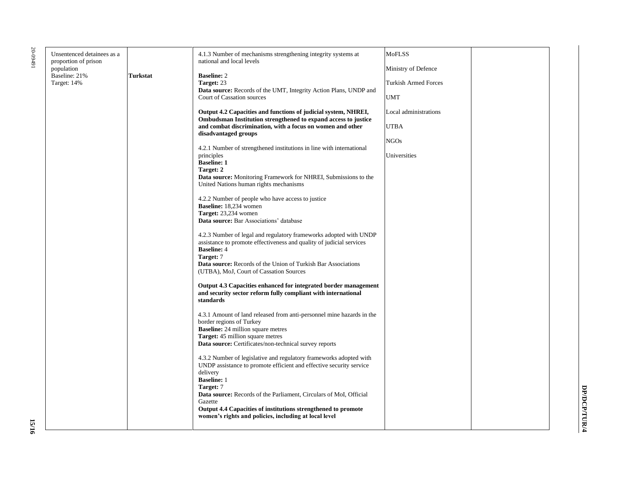10-09491 20-09491

| Unsentenced detainees as a<br>proportion of prison |          | 4.1.3 Number of mechanisms strengthening integrity systems at<br>national and local levels                                                | <b>MoFLSS</b>               |
|----------------------------------------------------|----------|-------------------------------------------------------------------------------------------------------------------------------------------|-----------------------------|
| population                                         |          |                                                                                                                                           | Ministry of Defence         |
| Baseline: 21%                                      | Turkstat | <b>Baseline: 2</b>                                                                                                                        |                             |
| Target: 14%                                        |          | Target: 23                                                                                                                                | <b>Turkish Armed Forces</b> |
|                                                    |          | <b>Data source:</b> Records of the UMT, Integrity Action Plans, UNDP and<br>Court of Cassation sources                                    | <b>UMT</b>                  |
|                                                    |          |                                                                                                                                           |                             |
|                                                    |          | Output 4.2 Capacities and functions of judicial system, NHREI,<br>Ombudsman Institution strengthened to expand access to justice          | Local administrations       |
|                                                    |          | and combat discrimination, with a focus on women and other<br>disadvantaged groups                                                        | <b>UTBA</b>                 |
|                                                    |          |                                                                                                                                           | <b>NGOs</b>                 |
|                                                    |          | 4.2.1 Number of strengthened institutions in line with international                                                                      |                             |
|                                                    |          | principles<br><b>Baseline: 1</b>                                                                                                          | Universities                |
|                                                    |          | Target: 2                                                                                                                                 |                             |
|                                                    |          | <b>Data source:</b> Monitoring Framework for NHREI, Submissions to the<br>United Nations human rights mechanisms                          |                             |
|                                                    |          |                                                                                                                                           |                             |
|                                                    |          | 4.2.2 Number of people who have access to justice<br><b>Baseline:</b> 18,234 women                                                        |                             |
|                                                    |          | Target: 23,234 women                                                                                                                      |                             |
|                                                    |          | Data source: Bar Associations' database                                                                                                   |                             |
|                                                    |          |                                                                                                                                           |                             |
|                                                    |          | 4.2.3 Number of legal and regulatory frameworks adopted with UNDP<br>assistance to promote effectiveness and quality of judicial services |                             |
|                                                    |          | <b>Baseline: 4</b>                                                                                                                        |                             |
|                                                    |          | Target: 7                                                                                                                                 |                             |
|                                                    |          | Data source: Records of the Union of Turkish Bar Associations<br>(UTBA), MoJ, Court of Cassation Sources                                  |                             |
|                                                    |          | Output 4.3 Capacities enhanced for integrated border management                                                                           |                             |
|                                                    |          | and security sector reform fully compliant with international                                                                             |                             |
|                                                    |          | standards                                                                                                                                 |                             |
|                                                    |          | 4.3.1 Amount of land released from anti-personnel mine hazards in the                                                                     |                             |
|                                                    |          | border regions of Turkey                                                                                                                  |                             |
|                                                    |          | <b>Baseline:</b> 24 million square metres                                                                                                 |                             |
|                                                    |          | Target: 45 million square metres                                                                                                          |                             |
|                                                    |          | Data source: Certificates/non-technical survey reports                                                                                    |                             |
|                                                    |          | 4.3.2 Number of legislative and regulatory frameworks adopted with                                                                        |                             |
|                                                    |          | UNDP assistance to promote efficient and effective security service                                                                       |                             |
|                                                    |          | delivery                                                                                                                                  |                             |
|                                                    |          | <b>Baseline: 1</b><br>Target: 7                                                                                                           |                             |
|                                                    |          | Data source: Records of the Parliament, Circulars of MoI, Official                                                                        |                             |
|                                                    |          | Gazette                                                                                                                                   |                             |
|                                                    |          | Output 4.4 Capacities of institutions strengthened to promote                                                                             |                             |
|                                                    |          | women's rights and policies, including at local level                                                                                     |                             |
|                                                    |          |                                                                                                                                           |                             |